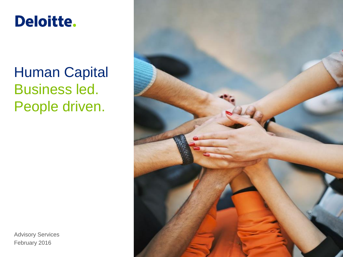#### **Deloitte.**

### Human Capital Business led. People driven.

Advisory Services February 2016

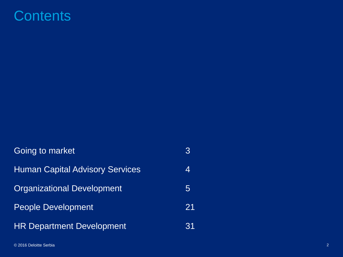#### **Contents**

| Going to market                        |    |
|----------------------------------------|----|
| <b>Human Capital Advisory Services</b> | 4  |
| <b>Organizational Development</b>      | 5  |
| <b>People Development</b>              | 21 |
| <b>HR Department Development</b>       | 31 |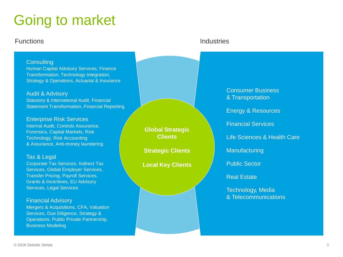### Going to market

#### **Functions Industries**

#### **Consulting**

Human Capital Advisory Services, Finance Transformation, Technology Integration, Strategy & Operations, Actuarial & Insurance

Audit & Advisory Statutory & International Audit, Financial Statement Transformation, Financial Reporting

Enterprise Risk Services Internal Audit, Controls Assurance, Forensics, Capital Markets, Risk Technology, Risk Accounting & Assurance, Anti-money laundering

#### Tax & Legal

Corporate Tax Services, Indirect Tax Services, Global Employer Services, Transfer Pricing, Payroll Services, Grants & Incentives, EU Advisory Services, Legal Services

#### Financial Advisory

Mergers & Acquisitions, CFA, Valuation Services, Due Diligence, Strategy & Operations, Public Private Partnership, Business Modeling

**Global Strategic Clients**

**Strategic Clients**

**Local Key Clients**

Consumer Business & Transportation

Energy & Resources

Financial Services

Life Sciences & Health Care

**Manufacturing** 

Public Sector

Real Estate

Technology, Media & Telecommunications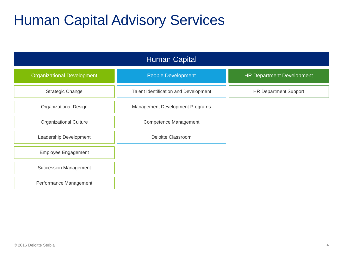#### Human Capital Advisory Services

| <b>Human Capital</b>              |                                       |                                  |  |  |  |
|-----------------------------------|---------------------------------------|----------------------------------|--|--|--|
| <b>Organizational Development</b> | <b>People Development</b>             | <b>HR Department Development</b> |  |  |  |
| <b>Strategic Change</b>           | Talent Identification and Development | <b>HR Department Support</b>     |  |  |  |
| Organizational Design             | Management Development Programs       |                                  |  |  |  |
| <b>Organizational Culture</b>     | <b>Competence Management</b>          |                                  |  |  |  |
| Leadership Development            | <b>Deloitte Classroom</b>             |                                  |  |  |  |
| Employee Engagement               |                                       |                                  |  |  |  |
| <b>Succession Management</b>      |                                       |                                  |  |  |  |
| Performance Management            |                                       |                                  |  |  |  |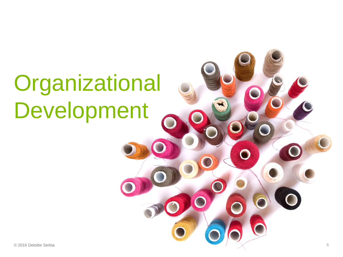# **Organizational** Development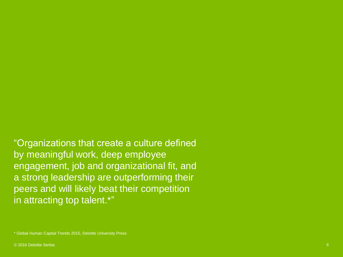"Organizations that create a culture defined by meaningful work, deep employee engagement, job and organizational fit, and a strong leadership are outperforming their peers and will likely beat their competition in attracting top talent.\*"

\* Global Human Capital Trends 2015, Deloitte University Press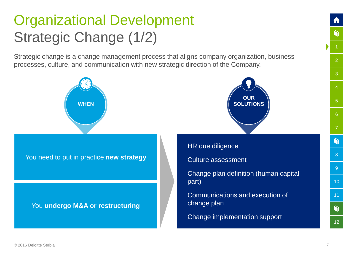### Organizational Development Strategic Change (1/2)

Strategic change is a change management process that aligns company organization, business processes, culture, and communication with new strategic direction of the Company.

<span id="page-6-0"></span>

[2](#page-8-0)

តា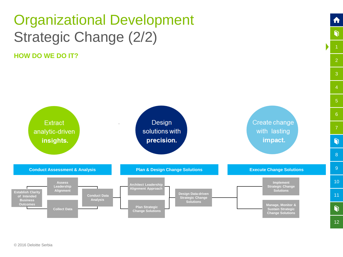### Organizational Development Strategic Change (2/2)

**HOW DO WE DO IT?**



[2](#page-8-0)

ft

 $\bullet$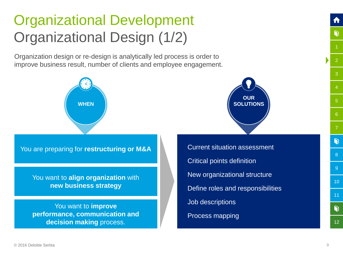### Organizational Development Organizational Design (1/2)

Organization design or re-design is analytically led process is order to improve business result, number of clients and employee engagement.



You are preparing for **restructuring or M&A**

You want to **align organization** with **new business strategy**

<span id="page-8-0"></span>You want to **improve performance, communication and decision making** process.



Current situation assessment Critical points definition New organizational structure Define roles and responsibilities Job descriptions Process mapping

[12](#page-32-0)

 $\mathbf{\Omega}$ 

[2](#page-8-0)

G

[6](#page-16-0)

[8](#page-22-0)

G

[9](#page-24-0)

[10](#page-26-0)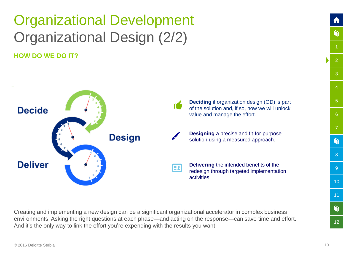## Organizational Development Organizational Design (2/2)

**HOW DO WE DO IT?**



Creating and implementing a new design can be a significant organizational accelerator in complex business environments. Asking the right questions at each phase—and acting on the response—can save time and effort. And it's the only way to link the effort you're expending with the results you want.

[12](#page-32-0)

[2](#page-8-0)

ה

[3](#page-10-0)

[4](#page-12-0)

[6](#page-16-0)

[8](#page-22-0)

G

[9](#page-24-0)

[10](#page-26-0)

[11](#page-28-0)

 $\bullet$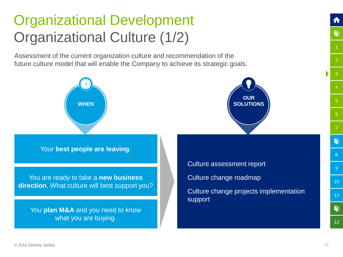### Organizational Development Organizational Culture (1/2)

Assessment of the current organization culture and recommendation of the future culture model that will enable the Company to achieve its strategic goals.

<span id="page-10-0"></span>

[12](#page-32-0)

ျ

[2](#page-8-0)

G

[3](#page-10-0)

[6](#page-16-0)

[8](#page-22-0)

G

[9](#page-24-0)

[10](#page-26-0)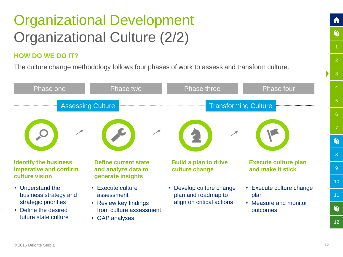### Organizational Development Organizational Culture (2/2)

#### **HOW DO WE DO IT?**

The culture change methodology follows four phases of work to assess and transform culture.

| Phase one                                                                                                         | Phase two                                                                                                               | Phase three                                                                  | Phase four                                                            |  |
|-------------------------------------------------------------------------------------------------------------------|-------------------------------------------------------------------------------------------------------------------------|------------------------------------------------------------------------------|-----------------------------------------------------------------------|--|
| <b>Assessing Culture</b>                                                                                          |                                                                                                                         | <b>Transforming Culture</b>                                                  |                                                                       |  |
| <b>Identify the business</b><br>imperative and confirm                                                            | <b>Define current state</b><br>and analyze data to                                                                      | <b>Build a plan to drive</b><br>culture change                               | <b>Execute culture plan</b><br>and make it stick                      |  |
| culture vision                                                                                                    | generate insights                                                                                                       |                                                                              |                                                                       |  |
| • Understand the<br>business strategy and<br>strategic priorities<br>• Define the desired<br>future state culture | • Execute culture<br>assessment<br>• Review key findings<br>from culture assessment<br><b>GAP</b> analyses<br>$\bullet$ | • Develop culture change<br>plan and roadmap to<br>align on critical actions | • Execute culture change<br>plan<br>• Measure and monitor<br>outcomes |  |

[12](#page-32-0)

[2](#page-8-0)

ft

 $\bullet$ 

[3](#page-10-0)

[5](#page-14-0)

[6](#page-16-0)

[7](#page-18-0)

G

[8](#page-22-0)

[9](#page-24-0)

[10](#page-26-0)

[11](#page-28-0)

 $\bullet$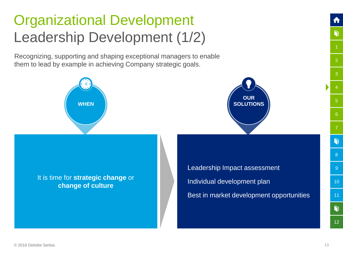### Organizational Development Leadership Development (1/2)

Recognizing, supporting and shaping exceptional managers to enable them to lead by example in achieving Company strategic goals.





<span id="page-12-0"></span>It is time for **strategic change** or **change of culture**

Leadership Impact assessment Individual development plan Best in market development opportunities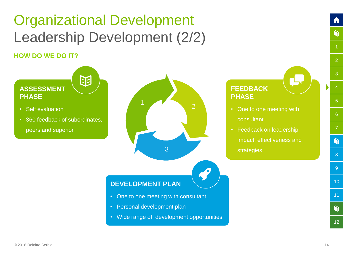### Organizational Development Leadership Development (2/2)

#### **HOW DO WE DO IT?**



[12](#page-32-0)

 $\bullet$ 

[2](#page-8-0)

ft

 $\bullet$ 

[6](#page-16-0)

[8](#page-22-0)

 $\bullet$ 

[9](#page-24-0)

[10](#page-26-0)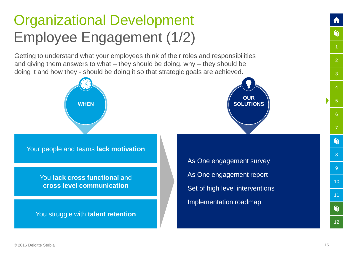### Organizational Development Employee Engagement (1/2)

Getting to understand what your employees think of their roles and responsibilities and giving them answers to what – they should be doing, why – they should be doing it and how they - should be doing it so that strategic goals are achieved.





You **lack cross functional** and **cross level communication**

<span id="page-14-0"></span>You struggle with **talent retention**

As One engagement survey As One engagement report Set of high level interventions Implementation roadmap



[12](#page-32-0)

 $\mathbf{\Omega}$ 

[2](#page-8-0)

Ò

[5](#page-14-0)

[6](#page-16-0)

[7](#page-18-0)

G

[8](#page-22-0)

[9](#page-24-0)

[10](#page-26-0)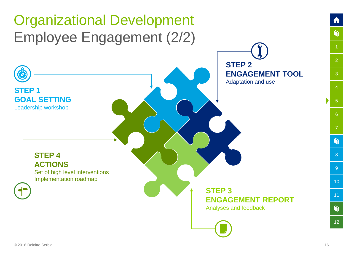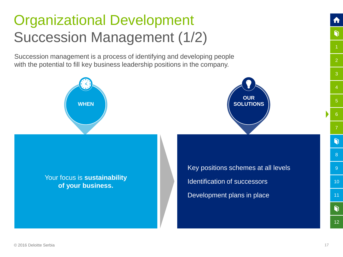### Organizational Development Succession Management (1/2)

Succession management is a process of identifying and developing people with the potential to fill key business leadership positions in the company.





<span id="page-16-0"></span>Your focus is **sustainability of your business.**

Key positions schemes at all levels Identification of successors Development plans in place

Ò

[12](#page-32-0)

 $\bullet$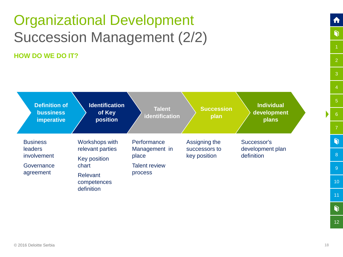#### Organizational Development Succession Management (2/2) **HOW DO WE DO IT?**

**Definition of bussiness imperative Identification of Key position Talent identification Succession plan Individual development plans Business leaders** involvement **Governance** agreement Workshops with relevant parties Key position chart Relevant competences definition **Performance** Management in place Talent review process Assigning the successors to key position Successor's development plan definition

 $\bullet$ 

 $\bullet$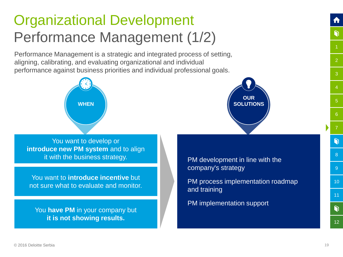#### Organizational Development Performance Management (1/2)

Performance Management is a strategic and integrated process of setting, aligning, calibrating, and evaluating organizational and individual performance against business priorities and individual professional goals.



You want to develop or **introduce new PM system** and to align it with the business strategy.

You want to **introduce incentive** but not sure what to evaluate and monitor.

<span id="page-18-0"></span>You **have PM** in your company but **it is not showing results.**



PM development in line with the company's strategy

PM process implementation roadmap and training

PM implementation support

[2](#page-8-0)

G

[3](#page-10-0)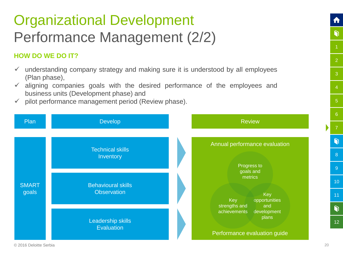### Organizational Development Performance Management (2/2)

#### **HOW DO WE DO IT?**

- $\checkmark$  understanding company strategy and making sure it is understood by all employees (Plan phase),
- $\checkmark$  aligning companies goals with the desired performance of the employees and business units (Development phase) and
- $\checkmark$  pilot performance management period (Review phase).



[2](#page-8-0)

A

 $\bullet$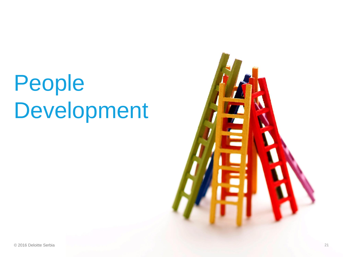## People Development

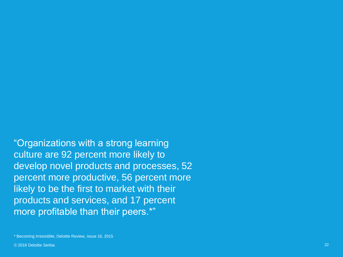"Organizations with a strong learning culture are 92 percent more likely to develop novel products and processes, 52 percent more productive, 56 percent more likely to be the first to market with their products and services, and 17 percent more profitable than their peers.\*"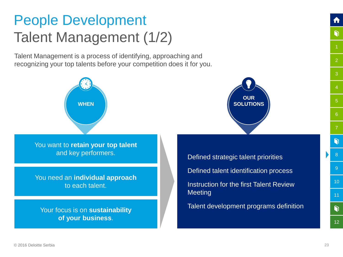### People Development Talent Management (1/2)

Talent Management is a process of identifying, approaching and recognizing your top talents before your competition does it for you.

<span id="page-22-0"></span>

[12](#page-32-0)

G

[2](#page-8-0)

G

[3](#page-10-0)

[5](#page-14-0)

[6](#page-16-0)

[8](#page-22-0)

G

[9](#page-24-0)

[10](#page-26-0)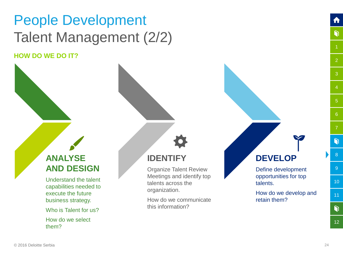## People Development Talent Management (2/2)

**HOW DO WE DO IT?**

#### **ANALYSE AND DESIGN**

Understand the talent capabilities needed to execute the future business strategy.

Who is Talent for us?

How do we select them?

#### **IDENTIFY**

Organize Talent Review Meetings and identify top talents across the organization.

How do we communicate this information?

#### **DEVELOP**

Define development opportunities for top talents.

How do we develop and retain them?

[10](#page-26-0) [11](#page-28-0) $\bullet$ 

[2](#page-8-0)

ft

 $\bullet$ 

[3](#page-10-0)

[5](#page-14-0)

[6](#page-16-0)

[8](#page-22-0)

 $\bullet$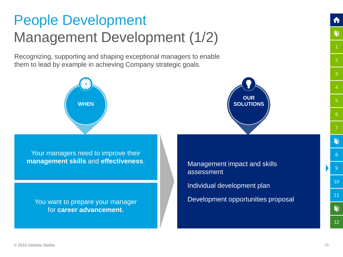#### People Development Management Development (1/2)

Recognizing, supporting and shaping exceptional managers to enable them to lead by example in achieving Company strategic goals.





Your managers need to improve their **management skills** and **effectiveness**.

<span id="page-24-0"></span>You want to prepare your manager for **career advancement.** 

Management impact and skills assessment Individual development plan Development opportunities proposal

 $\bullet$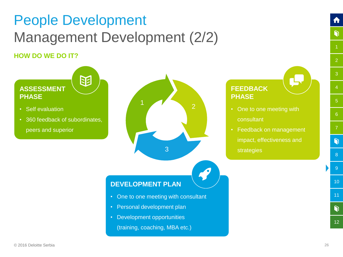### People Development Management Development (2/2)

#### **HOW DO WE DO IT?**



[12](#page-32-0)

 $\bullet$ 

[2](#page-8-0)

ft

 $\bullet$ 

[3](#page-10-0)

[6](#page-16-0)

[8](#page-22-0)

 $\bullet$ 

[9](#page-24-0)

[10](#page-26-0)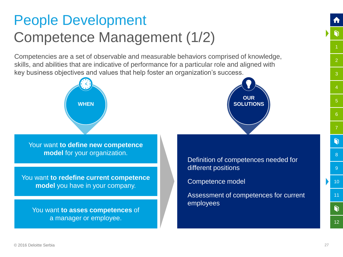#### People Development Competence Management (1/2)

Competencies are a set of observable and measurable behaviors comprised of knowledge, skills, and abilities that are indicative of performance for a particular role and aligned with key business objectives and values that help foster an organization's success.



Your want **to define new competence model** for your organization.

You want **to redefine current competence model** you have in your company.

<span id="page-26-0"></span>You want **to asses competences** of a manager or employee.



Definition of competences needed for different positions

Competence model

Assessment of competences for current employees

[2](#page-8-0)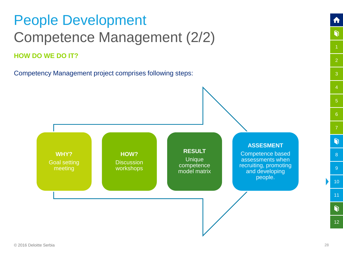#### People Development Competence Management (2/2) **HOW DO WE DO IT?**

Competency Management project comprises following steps:



[12](#page-32-0)

[2](#page-8-0)

A

 $\bullet$ 

[3](#page-10-0)

[5](#page-14-0)

[6](#page-16-0)

[8](#page-22-0)

 $\bullet$ 

[9](#page-24-0)

[10](#page-26-0)

[11](#page-28-0)

 $\bullet$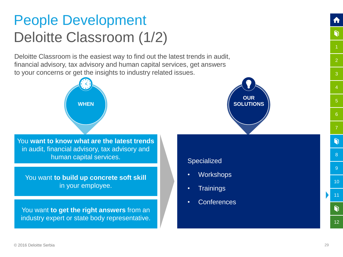#### People Development Deloitte Classroom (1/2)

Deloitte Classroom is the easiest way to find out the latest trends in audit, financial advisory, tax advisory and human capital services, get answers to your concerns or get the insights to industry related issues.



You **want to know what are the latest trends**  in audit, financial advisory, tax advisory and human capital services.

You want **to build up concrete soft skill**  in your employee.

<span id="page-28-0"></span>You want **to get the right answers** from an industry expert or state body representative.



#### **Specialized**

- Workshops
- **Trainings**
- **Conferences**

[2](#page-8-0)

G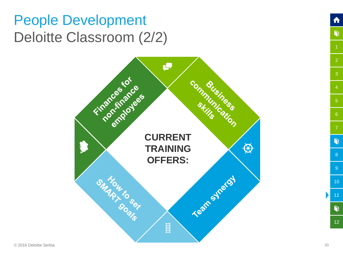#### People Development Deloitte Classroom (2/2)



 $\bigcap$ 

 $\bullet$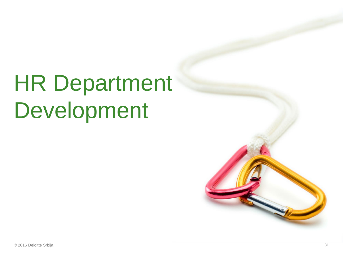# HR Department Development

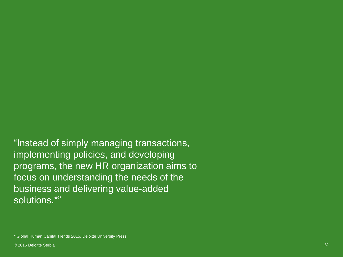"Instead of simply managing transactions, implementing policies, and developing programs, the new HR organization aims to focus on understanding the needs of the business and delivering value-added solutions.\*"

\* Global Human Capital Trends 2015, Deloitte University Press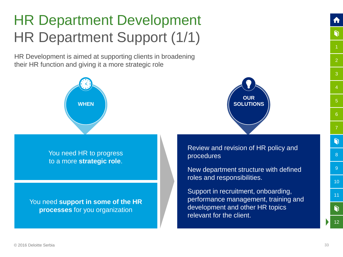### HR Department Development HR Department Support (1/1)

HR Development is aimed at supporting clients in broadening their HR function and giving it a more strategic role





<span id="page-32-0"></span>You need **support in some of the HR processes** for you organization



Review and revision of HR policy and procedures

New department structure with defined roles and responsibilities.

Support in recruitment, onboarding, performance management, training and development and other HR topics relevant for the client.

[2](#page-8-0)

 $\bullet$ 

[3](#page-10-0)

[5](#page-14-0)

[6](#page-16-0)

[8](#page-22-0)

 $\eta$ 

[9](#page-24-0)

[10](#page-26-0)

[11](#page-28-0)

 $\mathbf{\Omega}$